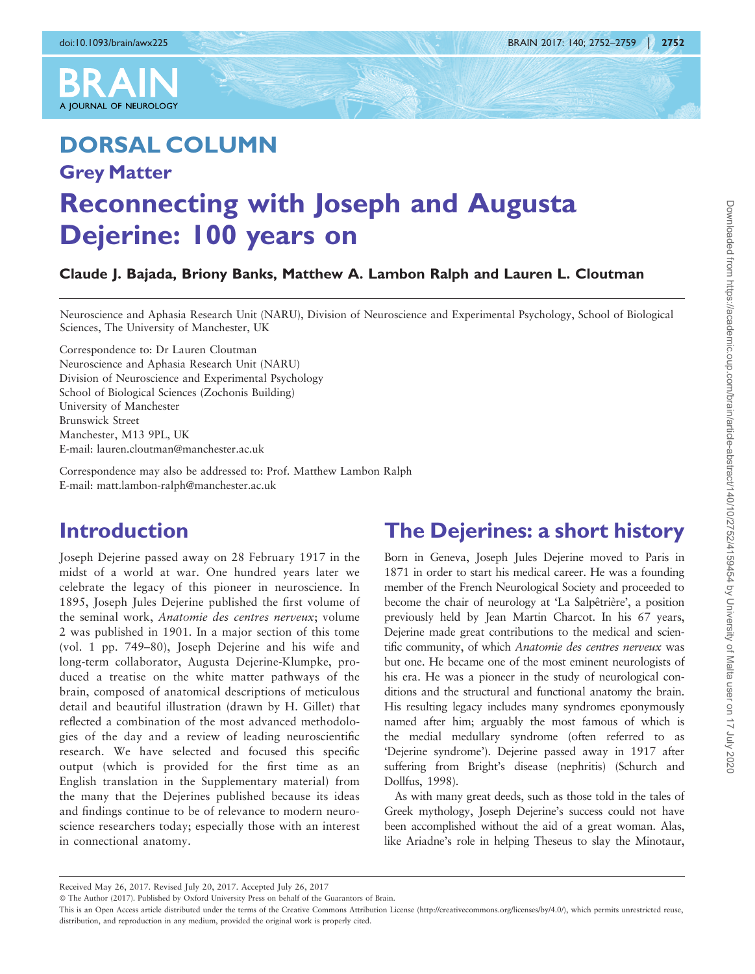# A JOURNAL OF NEUROLOGY

# DORSAL COLUMN Grey Matter

# Reconnecting with Joseph and Augusta Dejerine: 100 years on

#### Claude J. Bajada, Briony Banks, Matthew A. Lambon Ralph and Lauren L. Cloutman

Neuroscience and Aphasia Research Unit (NARU), Division of Neuroscience and Experimental Psychology, School of Biological Sciences, The University of Manchester, UK

Correspondence to: Dr Lauren Cloutman Neuroscience and Aphasia Research Unit (NARU) Division of Neuroscience and Experimental Psychology School of Biological Sciences (Zochonis Building) University of Manchester Brunswick Street Manchester, M13 9PL, UK E-mail: lauren.cloutman@manchester.ac.uk

Correspondence may also be addressed to: Prof. Matthew Lambon Ralph E-mail: matt.lambon-ralph@manchester.ac.uk

# Introduction

Joseph Dejerine passed away on 28 February 1917 in the midst of a world at war. One hundred years later we celebrate the legacy of this pioneer in neuroscience. In 1895, Joseph Jules Dejerine published the first volume of the seminal work, Anatomie des centres nerveux; volume 2 was published in 1901. In a major section of this tome (vol. 1 pp. 749–80), Joseph Dejerine and his wife and long-term collaborator, Augusta Dejerine-Klumpke, produced a treatise on the white matter pathways of the brain, composed of anatomical descriptions of meticulous detail and beautiful illustration (drawn by H. Gillet) that reflected a combination of the most advanced methodologies of the day and a review of leading neuroscientific research. We have selected and focused this specific output (which is provided for the first time as an English translation in the Supplementary material) from the many that the Dejerines published because its ideas and findings continue to be of relevance to modern neuroscience researchers today; especially those with an interest in connectional anatomy.

# The Dejerines: a short history

Born in Geneva, Joseph Jules Dejerine moved to Paris in 1871 in order to start his medical career. He was a founding member of the French Neurological Society and proceeded to become the chair of neurology at 'La Salpêtrière', a position previously held by Jean Martin Charcot. In his 67 years, Dejerine made great contributions to the medical and scientific community, of which Anatomie des centres nerveux was but one. He became one of the most eminent neurologists of his era. He was a pioneer in the study of neurological conditions and the structural and functional anatomy the brain. His resulting legacy includes many syndromes eponymously named after him; arguably the most famous of which is the medial medullary syndrome (often referred to as 'Dejerine syndrome'). Dejerine passed away in 1917 after suffering from Bright's disease (nephritis) [\(Schurch and](#page-7-0) [Dollfus, 1998](#page-7-0)).

As with many great deeds, such as those told in the tales of Greek mythology, Joseph Dejerine's success could not have been accomplished without the aid of a great woman. Alas, like Ariadne's role in helping Theseus to slay the Minotaur,

Received May 26, 2017. Revised July 20, 2017. Accepted July 26, 2017

<sup>-</sup> The Author (2017). Published by Oxford University Press on behalf of the Guarantors of Brain.

This is an Open Access article distributed under the terms of the Creative Commons Attribution License ([http://creativecommons.org/licenses/by/4.0/\)](http://creativecommons.org/licenses/by/4.0/), which permits unrestricted reuse, distribution, and reproduction in any medium, provided the original work is properly cited.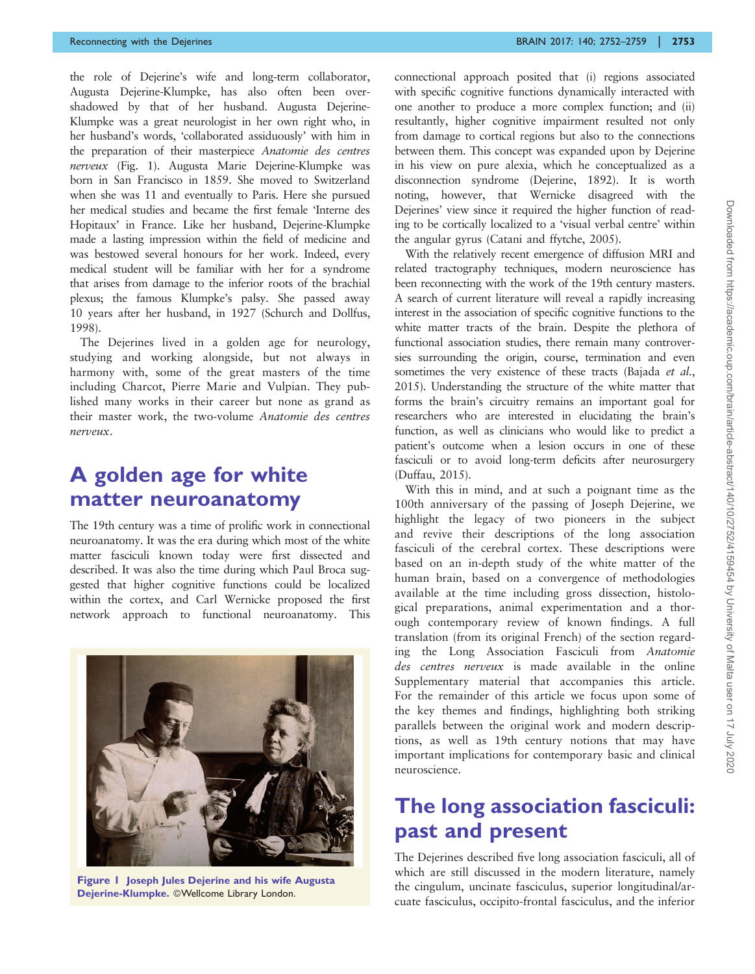the role of Dejerine's wife and long-term collaborator, Augusta Dejerine-Klumpke, has also often been overshadowed by that of her husband. Augusta Dejerine-Klumpke was a great neurologist in her own right who, in her husband's words, 'collaborated assiduously' with him in the preparation of their masterpiece Anatomie des centres nerveux (Fig. 1). Augusta Marie Dejerine-Klumpke was born in San Francisco in 1859. She moved to Switzerland when she was 11 and eventually to Paris. Here she pursued her medical studies and became the first female 'Interne des Hopitaux' in France. Like her husband, Dejerine-Klumpke made a lasting impression within the field of medicine and was bestowed several honours for her work. Indeed, every medical student will be familiar with her for a syndrome that arises from damage to the inferior roots of the brachial plexus; the famous Klumpke's palsy. She passed away 10 years after her husband, in 1927 [\(Schurch and Dollfus,](#page-7-0) [1998\)](#page-7-0).

The Dejerines lived in a golden age for neurology, studying and working alongside, but not always in harmony with, some of the great masters of the time including Charcot, Pierre Marie and Vulpian. They published many works in their career but none as grand as their master work, the two-volume Anatomie des centres nerveux.

# A golden age for white matter neuroanatomy

The 19th century was a time of prolific work in connectional neuroanatomy. It was the era during which most of the white matter fasciculi known today were first dissected and described. It was also the time during which Paul Broca suggested that higher cognitive functions could be localized within the cortex, and Carl Wernicke proposed the first network approach to functional neuroanatomy. This



Figure 1 Joseph Jules Dejerine and his wife Augusta Dejerine-Klumpke. ©Wellcome Library London.

connectional approach posited that (i) regions associated with specific cognitive functions dynamically interacted with one another to produce a more complex function; and (ii) resultantly, higher cognitive impairment resulted not only from damage to cortical regions but also to the connections between them. This concept was expanded upon by Dejerine in his view on pure alexia, which he conceptualized as a disconnection syndrome [\(Dejerine, 1892](#page-7-0)). It is worth noting, however, that Wernicke disagreed with the Dejerines' view since it required the higher function of reading to be cortically localized to a 'visual verbal centre' within the angular gyrus ([Catani and ffytche, 2005](#page-7-0)).

With the relatively recent emergence of diffusion MRI and related tractography techniques, modern neuroscience has been reconnecting with the work of the 19th century masters. A search of current literature will reveal a rapidly increasing interest in the association of specific cognitive functions to the white matter tracts of the brain. Despite the plethora of functional association studies, there remain many controversies surrounding the origin, course, termination and even sometimes the very existence of these tracts [\(Bajada](#page-7-0) et al., [2015\)](#page-7-0). Understanding the structure of the white matter that forms the brain's circuitry remains an important goal for researchers who are interested in elucidating the brain's function, as well as clinicians who would like to predict a patient's outcome when a lesion occurs in one of these fasciculi or to avoid long-term deficits after neurosurgery [\(Duffau, 2015](#page-7-0)).

With this in mind, and at such a poignant time as the 100th anniversary of the passing of Joseph Dejerine, we highlight the legacy of two pioneers in the subject and revive their descriptions of the long association fasciculi of the cerebral cortex. These descriptions were based on an in-depth study of the white matter of the human brain, based on a convergence of methodologies available at the time including gross dissection, histological preparations, animal experimentation and a thorough contemporary review of known findings. A full translation (from its original French) of the section regarding the Long Association Fasciculi from Anatomie des centres nerveux is made available in the online Supplementary material that accompanies this article. For the remainder of this article we focus upon some of the key themes and findings, highlighting both striking parallels between the original work and modern descriptions, as well as 19th century notions that may have important implications for contemporary basic and clinical neuroscience.

# The long association fasciculi: past and present

The Dejerines described five long association fasciculi, all of which are still discussed in the modern literature, namely the cingulum, uncinate fasciculus, superior longitudinal/arcuate fasciculus, occipito-frontal fasciculus, and the inferior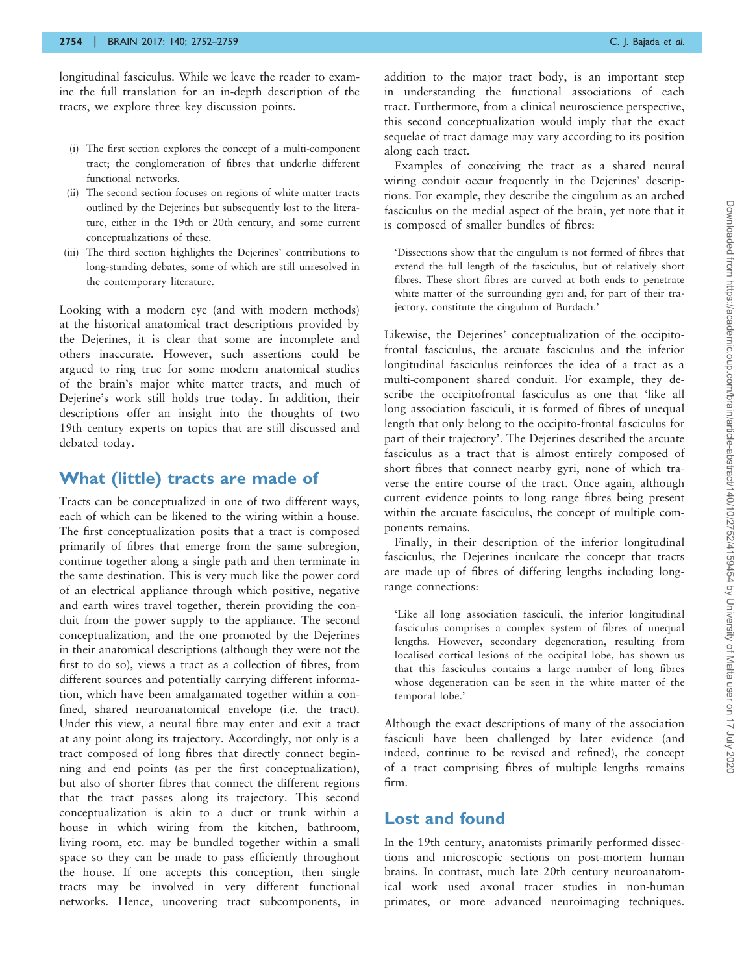longitudinal fasciculus. While we leave the reader to examine the full translation for an in-depth description of the tracts, we explore three key discussion points.

- (i) The first section explores the concept of a multi-component tract; the conglomeration of fibres that underlie different functional networks.
- (ii) The second section focuses on regions of white matter tracts outlined by the Dejerines but subsequently lost to the literature, either in the 19th or 20th century, and some current conceptualizations of these.
- (iii) The third section highlights the Dejerines' contributions to long-standing debates, some of which are still unresolved in the contemporary literature.

Looking with a modern eye (and with modern methods) at the historical anatomical tract descriptions provided by the Dejerines, it is clear that some are incomplete and others inaccurate. However, such assertions could be argued to ring true for some modern anatomical studies of the brain's major white matter tracts, and much of Dejerine's work still holds true today. In addition, their descriptions offer an insight into the thoughts of two 19th century experts on topics that are still discussed and debated today.

#### What (little) tracts are made of

Tracts can be conceptualized in one of two different ways, each of which can be likened to the wiring within a house. The first conceptualization posits that a tract is composed primarily of fibres that emerge from the same subregion, continue together along a single path and then terminate in the same destination. This is very much like the power cord of an electrical appliance through which positive, negative and earth wires travel together, therein providing the conduit from the power supply to the appliance. The second conceptualization, and the one promoted by the Dejerines in their anatomical descriptions (although they were not the first to do so), views a tract as a collection of fibres, from different sources and potentially carrying different information, which have been amalgamated together within a confined, shared neuroanatomical envelope (i.e. the tract). Under this view, a neural fibre may enter and exit a tract at any point along its trajectory. Accordingly, not only is a tract composed of long fibres that directly connect beginning and end points (as per the first conceptualization), but also of shorter fibres that connect the different regions that the tract passes along its trajectory. This second conceptualization is akin to a duct or trunk within a house in which wiring from the kitchen, bathroom, living room, etc. may be bundled together within a small space so they can be made to pass efficiently throughout the house. If one accepts this conception, then single tracts may be involved in very different functional networks. Hence, uncovering tract subcomponents, in

addition to the major tract body, is an important step in understanding the functional associations of each tract. Furthermore, from a clinical neuroscience perspective, this second conceptualization would imply that the exact sequelae of tract damage may vary according to its position along each tract.

Examples of conceiving the tract as a shared neural wiring conduit occur frequently in the Dejerines' descriptions. For example, they describe the cingulum as an arched fasciculus on the medial aspect of the brain, yet note that it is composed of smaller bundles of fibres:

'Dissections show that the cingulum is not formed of fibres that extend the full length of the fasciculus, but of relatively short fibres. These short fibres are curved at both ends to penetrate white matter of the surrounding gyri and, for part of their trajectory, constitute the cingulum of Burdach.'

Likewise, the Dejerines' conceptualization of the occipitofrontal fasciculus, the arcuate fasciculus and the inferior longitudinal fasciculus reinforces the idea of a tract as a multi-component shared conduit. For example, they describe the occipitofrontal fasciculus as one that 'like all long association fasciculi, it is formed of fibres of unequal length that only belong to the occipito-frontal fasciculus for part of their trajectory'. The Dejerines described the arcuate fasciculus as a tract that is almost entirely composed of short fibres that connect nearby gyri, none of which traverse the entire course of the tract. Once again, although current evidence points to long range fibres being present within the arcuate fasciculus, the concept of multiple components remains.

Finally, in their description of the inferior longitudinal fasciculus, the Dejerines inculcate the concept that tracts are made up of fibres of differing lengths including longrange connections:

'Like all long association fasciculi, the inferior longitudinal fasciculus comprises a complex system of fibres of unequal lengths. However, secondary degeneration, resulting from localised cortical lesions of the occipital lobe, has shown us that this fasciculus contains a large number of long fibres whose degeneration can be seen in the white matter of the temporal lobe.'

Although the exact descriptions of many of the association fasciculi have been challenged by later evidence (and indeed, continue to be revised and refined), the concept of a tract comprising fibres of multiple lengths remains firm.

#### Lost and found

In the 19th century, anatomists primarily performed dissections and microscopic sections on post-mortem human brains. In contrast, much late 20th century neuroanatomical work used axonal tracer studies in non-human primates, or more advanced neuroimaging techniques.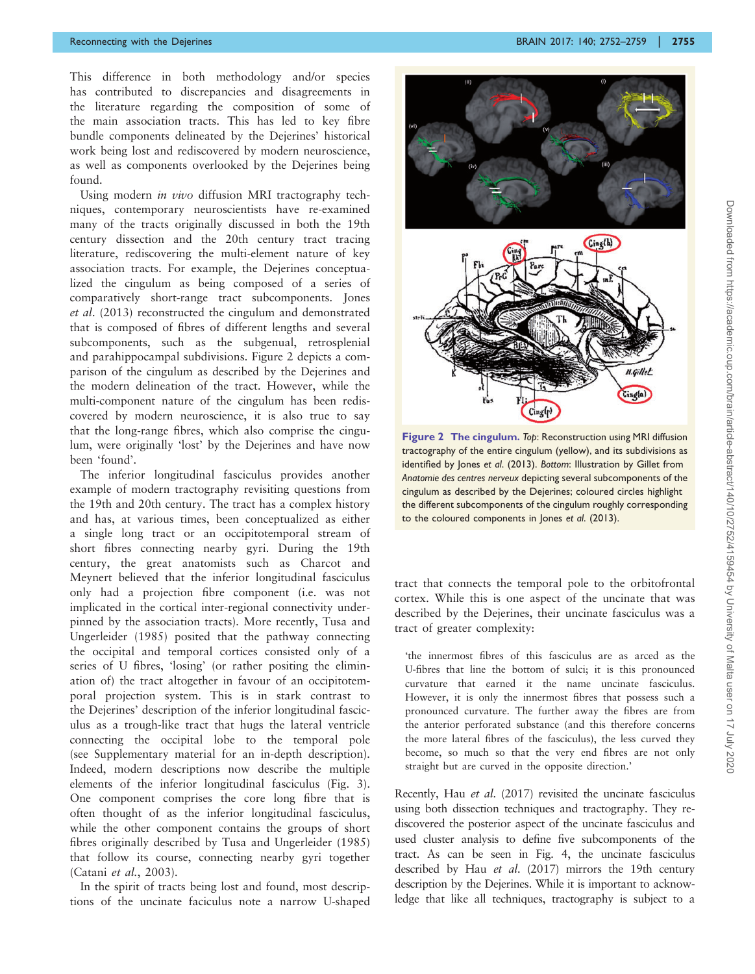Reconnecting with the Dejerines BRAIN 2017: 140; 2752–2759 | 2755

This difference in both methodology and/or species has contributed to discrepancies and disagreements in the literature regarding the composition of some of the main association tracts. This has led to key fibre bundle components delineated by the Dejerines' historical work being lost and rediscovered by modern neuroscience, as well as components overlooked by the Dejerines being found.

Using modern in vivo diffusion MRI tractography techniques, contemporary neuroscientists have re-examined many of the tracts originally discussed in both the 19th century dissection and the 20th century tract tracing literature, rediscovering the multi-element nature of key association tracts. For example, the Dejerines conceptualized the cingulum as being composed of a series of comparatively short-range tract subcomponents. [Jones](#page-7-0) et al[. \(2013\)](#page-7-0) reconstructed the cingulum and demonstrated that is composed of fibres of different lengths and several subcomponents, such as the subgenual, retrosplenial and parahippocampal subdivisions. Figure 2 depicts a comparison of the cingulum as described by the Dejerines and the modern delineation of the tract. However, while the multi-component nature of the cingulum has been rediscovered by modern neuroscience, it is also true to say that the long-range fibres, which also comprise the cingulum, were originally 'lost' by the Dejerines and have now been 'found'.

The inferior longitudinal fasciculus provides another example of modern tractography revisiting questions from the 19th and 20th century. The tract has a complex history and has, at various times, been conceptualized as either a single long tract or an occipitotemporal stream of short fibres connecting nearby gyri. During the 19th century, the great anatomists such as Charcot and Meynert believed that the inferior longitudinal fasciculus only had a projection fibre component (i.e. was not implicated in the cortical inter-regional connectivity underpinned by the association tracts). More recently, [Tusa and](#page-7-0) [Ungerleider \(1985\)](#page-7-0) posited that the pathway connecting the occipital and temporal cortices consisted only of a series of U fibres, 'losing' (or rather positing the elimination of) the tract altogether in favour of an occipitotemporal projection system. This is in stark contrast to the Dejerines' description of the inferior longitudinal fasciculus as a trough-like tract that hugs the lateral ventricle connecting the occipital lobe to the temporal pole (see Supplementary material for an in-depth description). Indeed, modern descriptions now describe the multiple elements of the inferior longitudinal fasciculus ([Fig. 3\)](#page-4-0). One component comprises the core long fibre that is often thought of as the inferior longitudinal fasciculus, while the other component contains the groups of short fibres originally described by [Tusa and Ungerleider \(1985\)](#page-7-0) that follow its course, connecting nearby gyri together (Catani et al.[, 2003\)](#page-7-0).

In the spirit of tracts being lost and found, most descriptions of the uncinate faciculus note a narrow U-shaped





Figure 2 The cingulum. Top: Reconstruction using MRI diffusion tractography of the entire cingulum (yellow), and its subdivisions as identified by Jones et al[. \(2013\)](#page-7-0). Bottom: Illustration by Gillet from Anatomie des centres nerveux depicting several subcomponents of the cingulum as described by the Dejerines; coloured circles highlight the different subcomponents of the cingulum roughly corresponding to the coloured components in Jones et al[. \(2013\)](#page-7-0).

tract that connects the temporal pole to the orbitofrontal cortex. While this is one aspect of the uncinate that was described by the Dejerines, their uncinate fasciculus was a tract of greater complexity:

'the innermost fibres of this fasciculus are as arced as the U-fibres that line the bottom of sulci; it is this pronounced curvature that earned it the name uncinate fasciculus. However, it is only the innermost fibres that possess such a pronounced curvature. The further away the fibres are from the anterior perforated substance (and this therefore concerns the more lateral fibres of the fasciculus), the less curved they become, so much so that the very end fibres are not only straight but are curved in the opposite direction.'

Recently, Hau et al[. \(2017\)](#page-7-0) revisited the uncinate fasciculus using both dissection techniques and tractography. They rediscovered the posterior aspect of the uncinate fasciculus and used cluster analysis to define five subcomponents of the tract. As can be seen in [Fig. 4,](#page-5-0) the uncinate fasciculus described by Hau et al[. \(2017\)](#page-7-0) mirrors the 19th century description by the Dejerines. While it is important to acknowledge that like all techniques, tractography is subject to a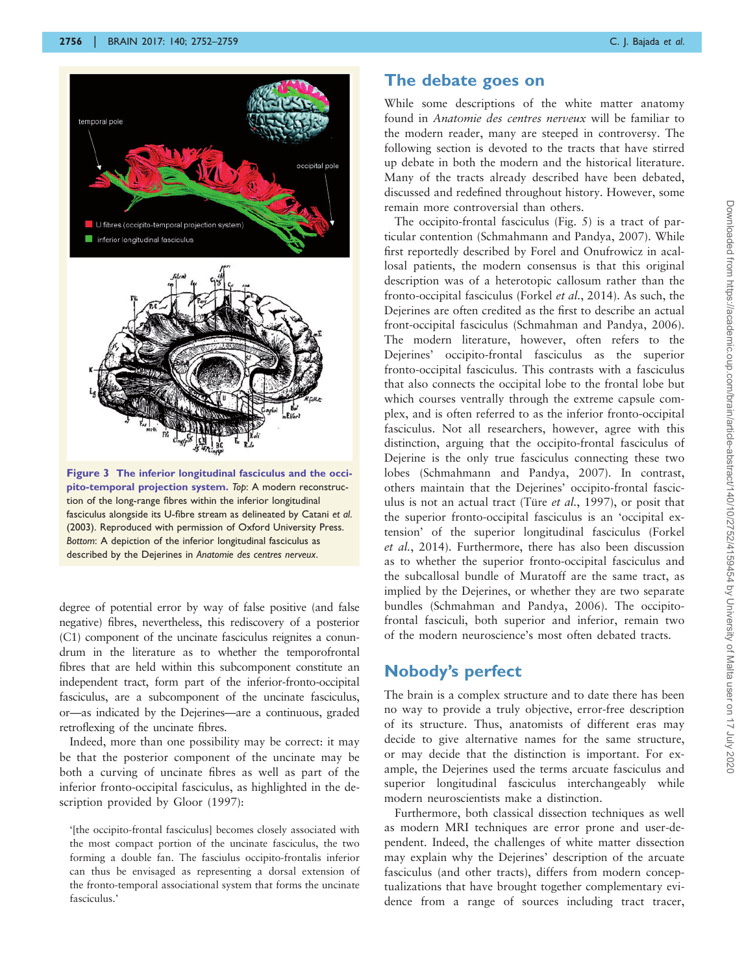<span id="page-4-0"></span>

Figure 3 The inferior longitudinal fasciculus and the occipito-temporal projection system. Top: A modern reconstruction of the long-range fibres within the inferior longitudinal fasciculus alongside its U-fibre stream as delineated by [Catani](#page-7-0) et al. [\(2003\).](#page-7-0) Reproduced with permission of Oxford University Press. Bottom: A depiction of the inferior longitudinal fasciculus as described by the Dejerines in Anatomie des centres nerveux.

degree of potential error by way of false positive (and false negative) fibres, nevertheless, this rediscovery of a posterior (C1) component of the uncinate fasciculus reignites a conundrum in the literature as to whether the temporofrontal fibres that are held within this subcomponent constitute an independent tract, form part of the inferior-fronto-occipital fasciculus, are a subcomponent of the uncinate fasciculus, or—as indicated by the Dejerines—are a continuous, graded retroflexing of the uncinate fibres.

Indeed, more than one possibility may be correct: it may be that the posterior component of the uncinate may be both a curving of uncinate fibres as well as part of the inferior fronto-occipital fasciculus, as highlighted in the description provided by [Gloor \(1997\):](#page-7-0)

'[the occipito-frontal fasciculus] becomes closely associated with the most compact portion of the uncinate fasciculus, the two forming a double fan. The fasciulus occipito-frontalis inferior can thus be envisaged as representing a dorsal extension of the fronto-temporal associational system that forms the uncinate fasciculus.'

#### The debate goes on

While some descriptions of the white matter anatomy found in Anatomie des centres nerveux will be familiar to the modern reader, many are steeped in controversy. The following section is devoted to the tracts that have stirred up debate in both the modern and the historical literature. Many of the tracts already described have been debated, discussed and redefined throughout history. However, some remain more controversial than others.

The occipito-frontal fasciculus [\(Fig. 5\)](#page-6-0) is a tract of particular contention [\(Schmahmann and Pandya, 2007](#page-7-0)). While first reportedly described by Forel and Onufrowicz in acallosal patients, the modern consensus is that this original description was of a heterotopic callosum rather than the fronto-occipital fasciculus (Forkel et al.[, 2014\)](#page-7-0). As such, the Dejerines are often credited as the first to describe an actual front-occipital fasciculus ([Schmahman and Pandya, 2006](#page-7-0)). The modern literature, however, often refers to the Dejerines' occipito-frontal fasciculus as the superior fronto-occipital fasciculus. This contrasts with a fasciculus that also connects the occipital lobe to the frontal lobe but which courses ventrally through the extreme capsule complex, and is often referred to as the inferior fronto-occipital fasciculus. Not all researchers, however, agree with this distinction, arguing that the occipito-frontal fasciculus of Dejerine is the only true fasciculus connecting these two lobes ([Schmahmann and Pandya, 2007\)](#page-7-0). In contrast, others maintain that the Dejerines' occipito-frontal fascic-ulus is not an actual tract (Türe et al.[, 1997](#page-7-0)), or posit that the superior fronto-occipital fasciculus is an 'occipital extension' of the superior longitudinal fasciculus ([Forkel](#page-7-0) et al.[, 2014](#page-7-0)). Furthermore, there has also been discussion as to whether the superior fronto-occipital fasciculus and the subcallosal bundle of Muratoff are the same tract, as implied by the Dejerines, or whether they are two separate bundles [\(Schmahman and Pandya, 2006\)](#page-7-0). The occipitofrontal fasciculi, both superior and inferior, remain two of the modern neuroscience's most often debated tracts.

#### Nobody's perfect

The brain is a complex structure and to date there has been no way to provide a truly objective, error-free description of its structure. Thus, anatomists of different eras may decide to give alternative names for the same structure, or may decide that the distinction is important. For example, the Dejerines used the terms arcuate fasciculus and superior longitudinal fasciculus interchangeably while modern neuroscientists make a distinction.

Furthermore, both classical dissection techniques as well as modern MRI techniques are error prone and user-dependent. Indeed, the challenges of white matter dissection may explain why the Dejerines' description of the arcuate fasciculus (and other tracts), differs from modern conceptualizations that have brought together complementary evidence from a range of sources including tract tracer,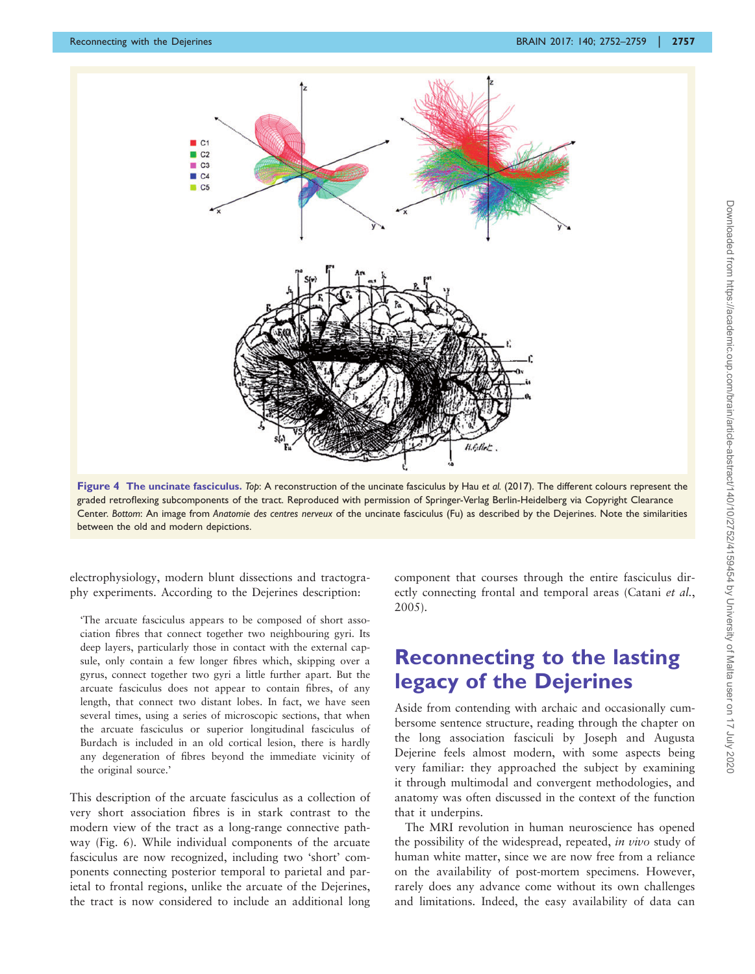<span id="page-5-0"></span>

Figure 4 The uncinate fasciculus. Top: A reconstruction of the uncinate fasciculus by Hau et al. [\(2017\)](#page-7-0). The different colours represent the graded retroflexing subcomponents of the tract. Reproduced with permission of Springer-Verlag Berlin-Heidelberg via Copyright Clearance Center. Bottom: An image from Anatomie des centres nerveux of the uncinate fasciculus (Fu) as described by the Dejerines. Note the similarities between the old and modern depictions.

electrophysiology, modern blunt dissections and tractography experiments. According to the Dejerines description:

'The arcuate fasciculus appears to be composed of short association fibres that connect together two neighbouring gyri. Its deep layers, particularly those in contact with the external capsule, only contain a few longer fibres which, skipping over a gyrus, connect together two gyri a little further apart. But the arcuate fasciculus does not appear to contain fibres, of any length, that connect two distant lobes. In fact, we have seen several times, using a series of microscopic sections, that when the arcuate fasciculus or superior longitudinal fasciculus of Burdach is included in an old cortical lesion, there is hardly any degeneration of fibres beyond the immediate vicinity of the original source.'

This description of the arcuate fasciculus as a collection of very short association fibres is in stark contrast to the modern view of the tract as a long-range connective pathway ([Fig. 6](#page-6-0)). While individual components of the arcuate fasciculus are now recognized, including two 'short' components connecting posterior temporal to parietal and parietal to frontal regions, unlike the arcuate of the Dejerines, the tract is now considered to include an additional long component that courses through the entire fasciculus dir-ectly connecting frontal and temporal areas ([Catani](#page-7-0) et al., [2005](#page-7-0)).

# Reconnecting to the lasting legacy of the Dejerines

Aside from contending with archaic and occasionally cumbersome sentence structure, reading through the chapter on the long association fasciculi by Joseph and Augusta Dejerine feels almost modern, with some aspects being very familiar: they approached the subject by examining it through multimodal and convergent methodologies, and anatomy was often discussed in the context of the function that it underpins.

The MRI revolution in human neuroscience has opened the possibility of the widespread, repeated, in vivo study of human white matter, since we are now free from a reliance on the availability of post-mortem specimens. However, rarely does any advance come without its own challenges and limitations. Indeed, the easy availability of data can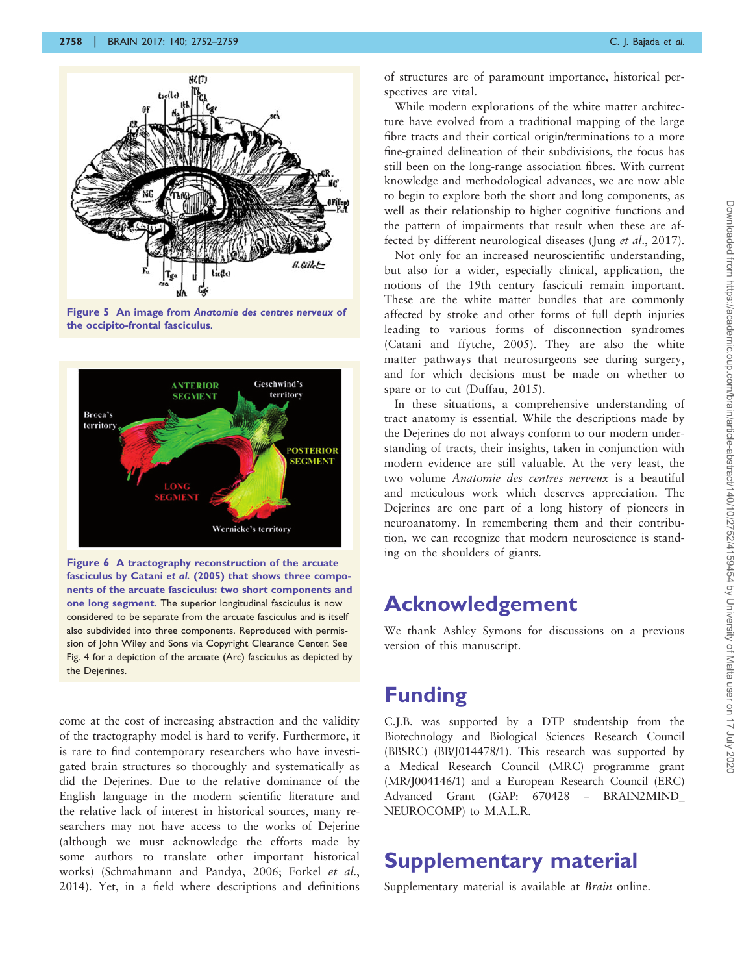<span id="page-6-0"></span>

Figure 5 An image from Anatomie des centres nerveux of the occipito-frontal fasciculus.



Figure 6 A tractography reconstruction of the arcuate fasciculus by [Catani](#page-7-0) et al. (2005) that shows three components of the arcuate fasciculus: two short components and one long segment. The superior longitudinal fasciculus is now considered to be separate from the arcuate fasciculus and is itself also subdivided into three components. Reproduced with permission of John Wiley and Sons via Copyright Clearance Center. See [Fig. 4](#page-5-0) for a depiction of the arcuate (Arc) fasciculus as depicted by the Dejerines.

come at the cost of increasing abstraction and the validity of the tractography model is hard to verify. Furthermore, it is rare to find contemporary researchers who have investigated brain structures so thoroughly and systematically as did the Dejerines. Due to the relative dominance of the English language in the modern scientific literature and the relative lack of interest in historical sources, many researchers may not have access to the works of Dejerine (although we must acknowledge the efforts made by some authors to translate other important historical works) [\(Schmahmann and Pandya, 2006](#page-7-0); [Forkel](#page-7-0) et al., [2014](#page-7-0)). Yet, in a field where descriptions and definitions

of structures are of paramount importance, historical perspectives are vital.

While modern explorations of the white matter architecture have evolved from a traditional mapping of the large fibre tracts and their cortical origin/terminations to a more fine-grained delineation of their subdivisions, the focus has still been on the long-range association fibres. With current knowledge and methodological advances, we are now able to begin to explore both the short and long components, as well as their relationship to higher cognitive functions and the pattern of impairments that result when these are affected by different neurological diseases (Jung et al[., 2017](#page-7-0)).

Not only for an increased neuroscientific understanding, but also for a wider, especially clinical, application, the notions of the 19th century fasciculi remain important. These are the white matter bundles that are commonly affected by stroke and other forms of full depth injuries leading to various forms of disconnection syndromes [\(Catani and ffytche, 2005](#page-7-0)). They are also the white matter pathways that neurosurgeons see during surgery, and for which decisions must be made on whether to spare or to cut [\(Duffau, 2015](#page-7-0)).

In these situations, a comprehensive understanding of tract anatomy is essential. While the descriptions made by the Dejerines do not always conform to our modern understanding of tracts, their insights, taken in conjunction with modern evidence are still valuable. At the very least, the two volume Anatomie des centres nerveux is a beautiful and meticulous work which deserves appreciation. The Dejerines are one part of a long history of pioneers in neuroanatomy. In remembering them and their contribution, we can recognize that modern neuroscience is standing on the shoulders of giants.

## Acknowledgement

We thank Ashley Symons for discussions on a previous version of this manuscript.

## Funding

C.J.B. was supported by a DTP studentship from the Biotechnology and Biological Sciences Research Council (BBSRC) (BB/J014478/1). This research was supported by a Medical Research Council (MRC) programme grant (MR/J004146/1) and a European Research Council (ERC) Advanced Grant (GAP: 670428 – BRAIN2MIND\_ NEUROCOMP) to M.A.L.R.

### Supplementary material

Supplementary material is available at Brain online.